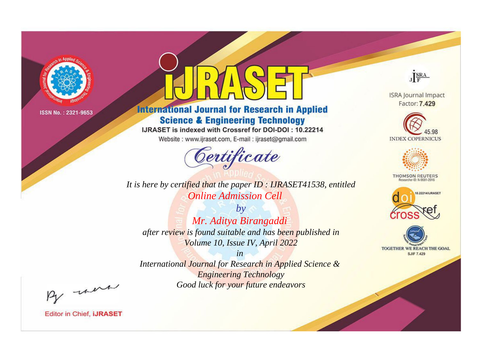

# **International Journal for Research in Applied Science & Engineering Technology**

IJRASET is indexed with Crossref for DOI-DOI: 10.22214

Website: www.ijraset.com, E-mail: ijraset@gmail.com



JERA

**ISRA Journal Impact** Factor: 7.429





**THOMSON REUTERS** 



TOGETHER WE REACH THE GOAL **SJIF 7.429** 

*It is here by certified that the paper ID : IJRASET41538, entitled Online Admission Cell*

*by Mr. Aditya Birangaddi after review is found suitable and has been published in Volume 10, Issue IV, April 2022*

*in* 

*International Journal for Research in Applied Science & Engineering Technology Good luck for your future endeavors*

By morn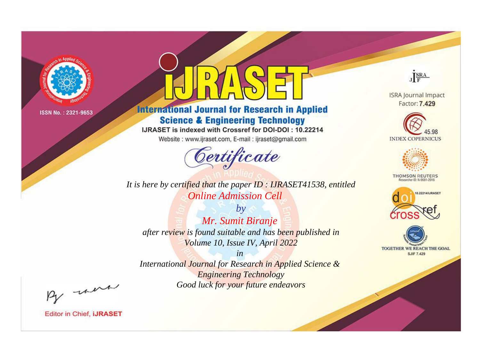

# **International Journal for Research in Applied Science & Engineering Technology**

IJRASET is indexed with Crossref for DOI-DOI: 10.22214

Website: www.ijraset.com, E-mail: ijraset@gmail.com



**ISRA Journal Impact** Factor: 7.429

JERA





**THOMSON REUTERS** 



TOGETHER WE REACH THE GOAL **SJIF 7.429** 

It is here by certified that the paper ID: IJRASET41538, entitled **Online Admission Cell** 

 $by$ Mr. Sumit Biranje after review is found suitable and has been published in Volume 10, Issue IV, April 2022

 $in$ International Journal for Research in Applied Science & **Engineering Technology** Good luck for your future endeavors

By morn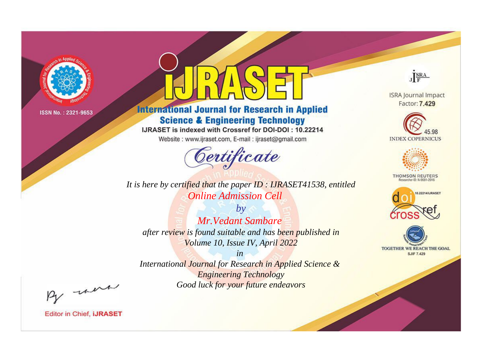

# **International Journal for Research in Applied Science & Engineering Technology**

IJRASET is indexed with Crossref for DOI-DOI: 10.22214

Website: www.ijraset.com, E-mail: ijraset@gmail.com



JERA

**ISRA Journal Impact** Factor: 7.429





**THOMSON REUTERS** 



TOGETHER WE REACH THE GOAL **SJIF 7.429** 

It is here by certified that the paper ID : IJRASET41538, entitled **Online Admission Cell** 

 $b\nu$ **Mr. Vedant Sambare** after review is found suitable and has been published in Volume 10, Issue IV, April 2022

 $in$ International Journal for Research in Applied Science & **Engineering Technology** Good luck for your future endeavors

By morn